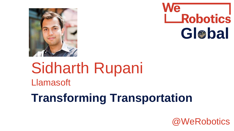



# Sidharth Rupani Llamasoft

### **Transforming Transportation**

@WeRobotics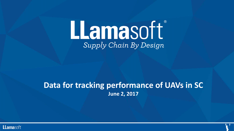## LLamasoft Supply Chain By Design

### **Data for tracking performance of UAVs in SC June 2, 2017**

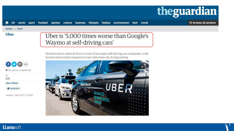

 $\equiv$  browse all sections

#### home y tech

#### **Uber**

#### Uber is '5,000 times worse than Google's Waymo at self-driving cars'

Statistics show minicab firm is worst of six major self-driving car companies, with human intervention required at one-mile intervals during testing



**O** This article is 1 month old

 $\frac{6}{541}$ 

**Alex Hern** 

alexhern

Tuesday 4 April 2017 11.30 BST

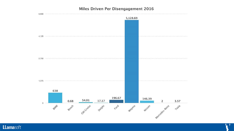#### Miles Driven Per Disengagement 2016



Llamasoft<sup>®</sup>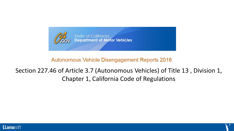

#### Autonomous Vehicle Disengagement Reports 2016

### Section 227.46 of Article 3.7 (Autonomous Vehicles) of Title 13 , Division 1, Chapter 1, California Code of Regulations

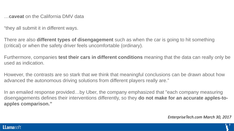…**caveat** on the California DMV data

"they all submit it in different ways.

There are also **different types of disengagement** such as when the car is going to hit something (critical) or when the safety driver feels uncomfortable (ordinary).

Furthermore, companies **test their cars in different conditions** meaning that the data can really only be used as indication.

However, the contrasts are so stark that we think that meaningful conclusions can be drawn about how advanced the autonomous driving solutions from different players really are."

In an emailed response provided…by Uber, the company emphasized that "each company measuring disengagements defines their interventions differently, so they **do not make for an accurate apples-toapples comparison."**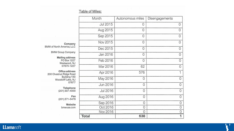#### Table of Miles:

|                                                                                                 | Month    | Autonomous miles | Disengagements |
|-------------------------------------------------------------------------------------------------|----------|------------------|----------------|
|                                                                                                 | Jul 2015 | 0                | 0              |
|                                                                                                 | Aug 2015 | 0                | 0              |
| Company                                                                                         | Sep 2015 | 0                | 0              |
|                                                                                                 | Nov 2015 | 0                | $\mathbf 0$    |
| BMW of North America, LLC                                                                       | Dec 2015 | 0                | $\mathbf{O}$   |
| <b>BMW Group Company</b><br><b>Mailing address</b><br>PO Box 1227<br>Westwood, NJ<br>07675-1227 | Jan 2016 | 0                | 0              |
|                                                                                                 | Feb 2016 | 0                | $\mathbf 0$    |
|                                                                                                 | Mar 2016 | 62               | $\mathbf 0$    |
| Office address<br>200 Chestnut Ridge Road                                                       | Apr 2016 | 576              |                |
| Building 150<br>Woodcliff Lake, NJ                                                              | May 2016 | 0                | 0              |
| 07677                                                                                           | Jun 2016 | 0                | 0              |
| Telephone<br>(201) 307-4000                                                                     | Jul 2016 | $\mathbf{0}$     | 0              |
| Fax<br>(201) 571-5479                                                                           | Aug 2016 | 0                | 0              |
| Website                                                                                         | Sep 2016 | 0                | 0              |
| bmwusa.com                                                                                      | Oct 2016 | 0                | 0              |
|                                                                                                 | Nov 2016 | 0                | 0              |
|                                                                                                 | Total    | 638              | 1              |

#### Llamasoft<sup>®</sup>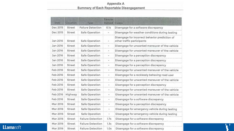#### Appendix A Summary of Each Reportable Disengagement

| Date     | Location | Type                     | Time to<br>manual        | Cause                                                                        |
|----------|----------|--------------------------|--------------------------|------------------------------------------------------------------------------|
| Dec 2015 | Street   | <b>Failure Detection</b> | 0.1s                     | Disengage for a software discrepancy                                         |
| Dec 2015 | Street   | Safe Operation           | $\blacksquare$           | Disengage for weather conditions during testing                              |
| Jan 2016 | Street   | Safe Operation           | ۳                        | Disengage for incorrect behavior prediction of<br>other traffic participants |
| Jan 2016 | Street   | Safe Operation           | $\blacksquare$           | Disengage for unwanted maneuver of the vehicle                               |
| Jan 2016 | Street   | Safe Operation           | $\overline{\phantom{a}}$ | Disengage for unwanted maneuver of the vehicle                               |
| Jan 2016 | Street   | Safe Operation           | $\frac{1}{2}$            | Disengage for a perception discrepancy                                       |
| Jan 2016 | Street   | Safe Operation           | ٠                        | Disengage for a perception discrepancy                                       |
| Jan 2016 | Street   | Safe Operation           | ۰                        | Disengage for a perception discrepancy                                       |
| Feb 2016 | Street   | Safe Operation           | $\blacksquare$           | Disengage for unwanted maneuver of the vehicle                               |
| Feb 2016 | Street   | Safe Operation           | $\rightarrow$            | Disengage for a recklessly behaving road user                                |
| Feb 2016 | Street   | Safe Operation           | ÷.                       | Disengage for unwanted maneuver of the vehicle                               |
| Feb 2016 | Street   | Safe Operation           | $\overline{\phantom{a}}$ | Disengage for a perception discrepancy                                       |
| Feb 2016 | Street   | Safe Operation           | ۰                        | Disengage for unwanted maneuver of the vehicle                               |
| Feb 2016 | Highway  | Safe Operation           | $\equiv$                 | Disengage for unwanted maneuver of the vehicle                               |
| Feb 2016 | Street   | Safe Operation           | ÷                        | Disengage for a software discrepancy                                         |
| Mar 2016 | Street   | Safe Operation           | ÷.                       | Disengage for a perception discrepancy                                       |
| Mar 2016 | Street   | Safe Operation           | ×                        | Disengage for emergency vehicle during testing                               |
| Mar 2016 | Street   | Safe Operation           | $\overline{a}$           | Disengage for emergency vehicle during testing                               |
| Mar 2016 | Street   | <b>Failure Detection</b> | 1.7s                     | Disengage for a software discrepancy                                         |
| Mar 2016 | Street   | <b>Failure Detection</b> | 1.3s                     | Disengage for a software discrepancy                                         |
| Mar 2016 | Street   | <b>Failure Detection</b> | 1.0s                     | Disengage for a software discrepancy                                         |

Llamasoft<sup>®</sup>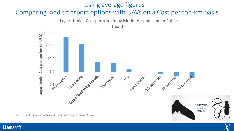#### Using average figures –

#### Comparing land transport options with UAVs on a Cost per ton-km basis

Logarithmic - Cost per ton-km by Mode (Air and Land in Public Health)



Source: Public data estimates and LLamasoft projects across Africa